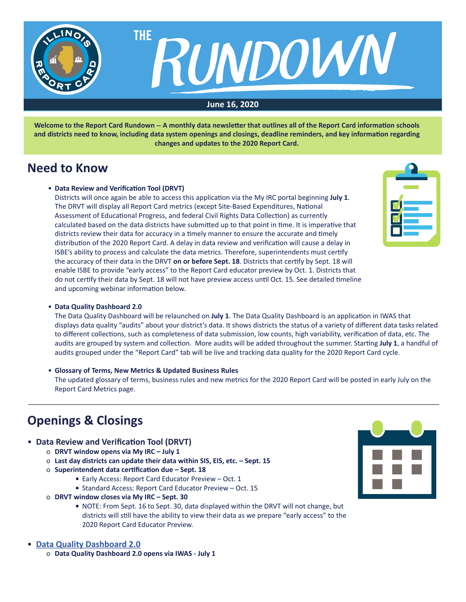

**Welcome to the Report Card Rundown -- A monthly data newsletter that outlines all of the Report Card information schools and districts need to know, including data system openings and closings, deadline reminders, and key information regarding changes and updates to the 2020 Report Card.**

## **Need to Know**

### • **Data Review and Verification Tool (DRVT)**

 Districts will once again be able to access this application via the My IRC portal beginning **July 1**. The DRVT will display all Report Card metrics (except Site-Based Expenditures, National Assessment of Educational Progress, and federal Civil Rights Data Collection) as currently calculated based on the data districts have submitted up to that point in time. It is imperative that districts review their data for accuracy in a timely manner to ensure the accurate and timely distribution of the 2020 Report Card. A delay in data review and verification will cause a delay in ISBE's ability to process and calculate the data metrics. Therefore, superintendents must certify the accuracy of their data in the DRVT **on or before Sept. 18**. Districts that certify by Sept. 18 will enable ISBE to provide "early access" to the Report Card educator preview by Oct. 1. Districts that do not certify their data by Sept. 18 will not have preview access until Oct. 15. See detailed timeline and upcoming webinar information below.



### • **Data Quality Dashboard 2.0**

 The Data Quality Dashboard will be relaunched on **July 1**. The Data Quality Dashboard is an application in IWAS that displays data quality "audits" about your district's data. It shows districts the status of a variety of different data tasks related to different collections, such as completeness of data submission, low counts, high variability, verification of data, etc. The audits are grouped by system and collection. More audits will be added throughout the summer. Starting **July 1**, a handful of audits grouped under the "Report Card" tab will be live and tracking data quality for the 2020 Report Card cycle.

### • **Glossary of Terms, New Metrics & Updated Business Rules**

 The updated glossary of terms, business rules and new metrics for the 2020 Report Card will be posted in early July on the Report Card Metrics page.

# **Openings & Closings**

## • **Data Review and Verification Tool (DRVT)**

- o **DRVT window opens via My IRC July 1**
- o **Last day districts can update their data within SIS, EIS, etc. Sept. 15**
- o **Superintendent data certification due Sept. 18**
	- Early Access: Report Card Educator Preview Oct. 1
	- Standard Access: Report Card Educator Preview Oct. 15
- o **DRVT window closes via My IRC Sept. 30**
	- NOTE: From Sept. 16 to Sept. 30, data displayed within the DRVT will not change, but districts will still have the ability to view their data as we prepare "early access" to the 2020 Report Card Educator Preview.

### • **[Data Quality Dashboard 2.0](https://www.isbe.net/Pages/Data-Quality-Dashboard.aspx)**

o **Data Quality Dashboard 2.0 opens via IWAS - July 1**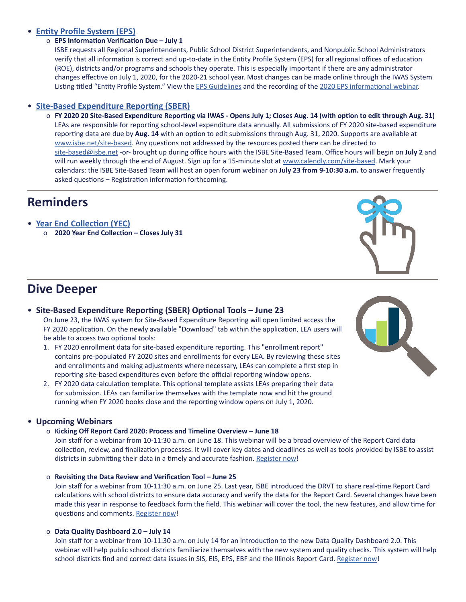## • **[Entity Profile System \(EPS\)](https://www.isbe.net/Documents/eps-guide.pdf)**

## o **EPS Information Verification Due – July 1**

ISBE requests all Regional Superintendents, Public School District Superintendents, and Nonpublic School Administrators verify that all information is correct and up-to-date in the Entity Profile System (EPS) for all regional offices of education (ROE), districts and/or programs and schools they operate. This is especially important if there are any administrator changes effective on July 1, 2020, for the 2020-21 school year. Most changes can be made online through the IWAS System Listing titled "Entity Profile System." View the [EPS Guidelines](https://www.isbe.net/Documents/eps-guide.pdf) and the recording of the 2020 EPS [informational](https://attendee.gotowebinar.com/recording/7069539116574059267) webinar.

## • **[Site-Based Expenditure Reporting \(SBER\)](https://www.isbe.net/site-based)**

o **FY 2020 20 Site-Based Expenditure Reporting via IWAS - Opens July 1; Closes Aug. 14 (with option to edit through Aug. 31)** LEAs are responsible for reporting school-level expenditure data annually. All submissions of FY 2020 site-based expenditure reporting data are due by **Aug. 14** with an option to edit submissions through Aug. 31, 2020. Supports are available at [www.isbe.net/site-based](http://www.isbe.net/site-based). Any questions not addressed by the resources posted there can be directed to [site-based@isbe.net](mailto:site-based%40isbe.net?subject=) -or- brought up during office hours with the ISBE Site-Based Team. Office hours will begin on **July 2** and will run weekly through the end of August. Sign up for a 15-minute slot at [www.calendly.com/site-based](http://www.calendly.com/site-based). Mark your calendars: the ISBE Site-Based Team will host an open forum webinar on **July 23 from 9-10:30 a.m.** to answer frequently asked questions – Registration information forthcoming.

## **Reminders**

- **[Year End Collection \(YEC\)](https://www.isbe.net/Documents/Year-End-data-Collection-Guidance.pdf)**
	- o **2020 Year End Collection Closes July 31**

## **Dive Deeper**

- **Site-Based Expenditure Reporting (SBER) Optional Tools June 23** On June 23, the IWAS system for Site-Based Expenditure Reporting will open limited access the FY 2020 application. On the newly available "Download" tab within the application, LEA users will be able to access two optional tools:
	- 1. FY 2020 enrollment data for site-based expenditure reporting. This "enrollment report" contains pre-populated FY 2020 sites and enrollments for every LEA. By reviewing these sites and enrollments and making adjustments where necessary, LEAs can complete a first step in reporting site-based expenditures even before the official reporting window opens.
	- 2. FY 2020 data calculation template. This optional template assists LEAs preparing their data for submission. LEAs can familiarize themselves with the template now and hit the ground running when FY 2020 books close and the reporting window opens on July 1, 2020.

## • **Upcoming Webinars**

o **Kicking Off Report Card 2020: Process and Timeline Overview – June 18**

Join staff for a webinar from 10-11:30 a.m. on June 18. This webinar will be a broad overview of the Report Card data collection, review, and finalization processes. It will cover key dates and deadlines as well as tools provided by ISBE to assist districts in submitting their data in a timely and accurate fashion. [Register](https://register.gotowebinar.com/register/3810605343496816397) now!

o **Revisiting the Data Review and Verification Tool – June 25**

Join staff for a webinar from 10-11:30 a.m. on June 25. Last year, ISBE introduced the DRVT to share real-time Report Card calculations with school districts to ensure data accuracy and verify the data for the Report Card. Several changes have been made this year in response to feedback form the field. This webinar will cover the tool, the new features, and allow time for questions and comments. [Register](https://attendee.gotowebinar.com/register/1222143865681136398) now!

### o **Data Quality Dashboard 2.0 – July 14**

Join staff for a webinar from 10-11:30 a.m. on July 14 for an introduction to the new Data Quality Dashboard 2.0. This webinar will help public school districts familiarize themselves with the new system and quality checks. This system will help school districts find and correct data issues in SIS, EIS, EPS, EBF and the Illinois Report Card. [Register](https://register.gotowebinar.com/register/937600152017414414) now!